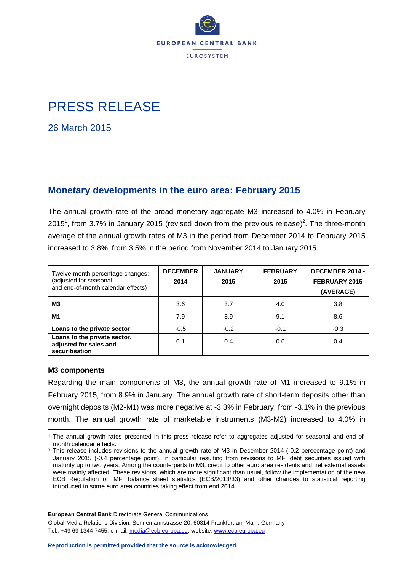

# PRESS RELEASE

26 March 2015

# **Monetary developments in the euro area: February 2015**

The annual growth rate of the broad monetary aggregate M3 increased to 4.0% in February 2015<sup>1</sup>, from 3.7% in January 2015 (revised down from the previous release)<sup>2</sup>. The three-month average of the annual growth rates of M3 in the period from December 2014 to February 2015 increased to 3.8%, from 3.5% in the period from November 2014 to January 2015.

| Twelve-month percentage changes;<br>(adjusted for seasonal<br>and end-of-month calendar effects) | <b>DECEMBER</b><br>2014 | <b>JANUARY</b><br>2015 | <b>FEBRUARY</b><br>2015 | DECEMBER 2014 -<br>FEBRUARY 2015<br>(AVERAGE) |  |
|--------------------------------------------------------------------------------------------------|-------------------------|------------------------|-------------------------|-----------------------------------------------|--|
| MЗ                                                                                               | 3.6                     | 3.7                    | 4.0                     | 3.8                                           |  |
| M1                                                                                               | 7.9                     | 8.9                    | 9.1                     | 8.6                                           |  |
| Loans to the private sector                                                                      | $-0.5$                  | $-0.2$                 | $-0.1$                  | $-0.3$                                        |  |
| Loans to the private sector,<br>adjusted for sales and<br>securitisation                         | 0.1                     | 0.4                    | 0.6                     | 0.4                                           |  |

## **M3 components**

Regarding the main components of M3, the annual growth rate of M1 increased to 9.1% in February 2015, from 8.9% in January. The annual growth rate of short-term deposits other than overnight deposits (M2-M1) was more negative at -3.3% in February, from -3.1% in the previous month. The annual growth rate of marketable instruments (M3-M2) increased to 4.0% in

**European Central Bank** Directorate General Communications

Global Media Relations Division, Sonnemannstrasse 20, 60314 Frankfurt am Main, Germany Tel.: +49 69 1344 7455, e-mail: [media@ecb.europa.eu,](mailto:media@ecb.europa.eu) website: [www.ecb.europa.eu](http://www.ecb.europa.eu/)

<sup>1</sup> <sup>1</sup> The annual growth rates presented in this press release refer to aggregates adjusted for seasonal and end-ofmonth calendar effects.

<sup>2</sup> This release includes revisions to the annual growth rate of M3 in December 2014 (-0.2 perecentage point) and January 2015 (-0.4 percentage point), in particular resulting from revisions to MFI debt securities issued with maturity up to two years. Among the counterparts to M3, credit to other euro area residents and net external assets were mainly affected. These revisions, which are more significant than usual, follow the implementation of the new ECB Regulation on MFI balance sheet statistics (ECB/2013/33) and other changes to statistical reporting introduced in some euro area countries taking effect from end 2014.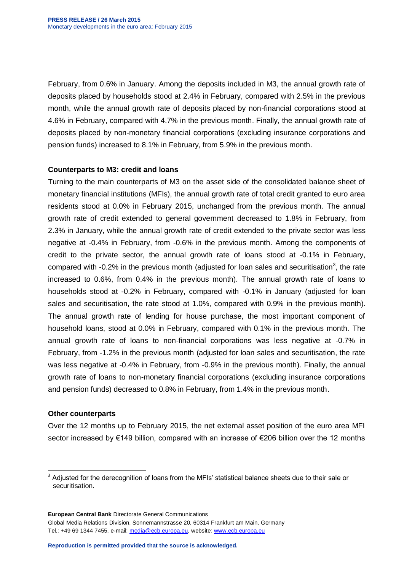February, from 0.6% in January. Among the deposits included in M3, the annual growth rate of deposits placed by households stood at 2.4% in February, compared with 2.5% in the previous month, while the annual growth rate of deposits placed by non-financial corporations stood at 4.6% in February, compared with 4.7% in the previous month. Finally, the annual growth rate of deposits placed by non-monetary financial corporations (excluding insurance corporations and pension funds) increased to 8.1% in February, from 5.9% in the previous month.

# **Counterparts to M3: credit and loans**

Turning to the main counterparts of M3 on the asset side of the consolidated balance sheet of monetary financial institutions (MFIs), the annual growth rate of total credit granted to euro area residents stood at 0.0% in February 2015, unchanged from the previous month. The annual growth rate of credit extended to general government decreased to 1.8% in February, from 2.3% in January, while the annual growth rate of credit extended to the private sector was less negative at -0.4% in February, from -0.6% in the previous month. Among the components of credit to the private sector, the annual growth rate of loans stood at -0.1% in February, compared with -0.2% in the previous month (adjusted for loan sales and securitisation<sup>3</sup>, the rate increased to 0.6%, from 0.4% in the previous month). The annual growth rate of loans to households stood at -0.2% in February, compared with -0.1% in January (adjusted for loan sales and securitisation, the rate stood at 1.0%, compared with 0.9% in the previous month). The annual growth rate of lending for house purchase, the most important component of household loans, stood at 0.0% in February, compared with 0.1% in the previous month. The annual growth rate of loans to non-financial corporations was less negative at -0.7% in February, from -1.2% in the previous month (adjusted for loan sales and securitisation, the rate was less negative at -0.4% in February, from -0.9% in the previous month). Finally, the annual growth rate of loans to non-monetary financial corporations (excluding insurance corporations and pension funds) decreased to 0.8% in February, from 1.4% in the previous month.

## **Other counterparts**

Over the 12 months up to February 2015, the net external asset position of the euro area MFI sector increased by €149 billion, compared with an increase of €206 billion over the 12 months

**European Central Bank** Directorate General Communications

Global Media Relations Division, Sonnemannstrasse 20, 60314 Frankfurt am Main, Germany Tel.: +49 69 1344 7455, e-mail: [media@ecb.europa.eu,](mailto:media@ecb.europa.eu) website: [www.ecb.europa.eu](http://www.ecb.europa.eu/)

 $\ddot{\phantom{a}}$ <sup>3</sup> Adjusted for the derecognition of loans from the MFIs' statistical balance sheets due to their sale or securitisation.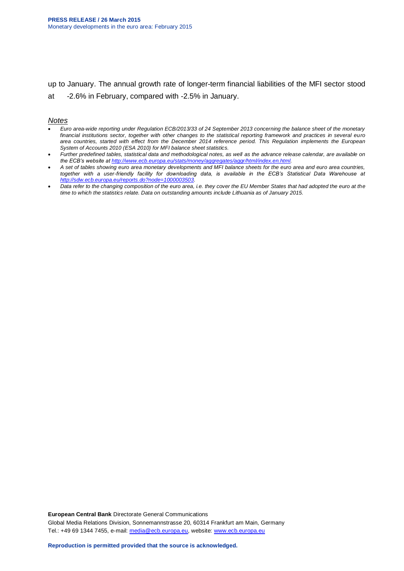up to January. The annual growth rate of longer-term financial liabilities of the MFI sector stood at -2.6% in February, compared with -2.5% in January.

#### *Notes*

- *Euro area-wide reporting under Regulation ECB/2013/33 of 24 September 2013 concerning the balance sheet of the monetary financial institutions sector, together with other changes to the statistical reporting framework and practices in several euro area countries, started with effect from the December 2014 reference period. This Regulation implements the European System of Accounts 2010 (ESA 2010) for MFI balance sheet statistics.*
- *Further predefined tables, statistical data and methodological notes, as well as the advance release calendar, are available on the ECB's website at [http://www.ecb.europa.eu/stats/money/aggregates/aggr/html/index.en.html.](http://www.ecb.europa.eu/stats/money/aggregates/aggr/html/index.en.html)*
- *A set of tables showing euro area monetary developments and MFI balance sheets for the euro area and euro area countries,*  together with a user-friendly facility for downloading data, is available in the ECB's Statistical Data Warehouse at *[http://sdw.ecb.europa.eu/reports.do?node=1000003503.](http://sdw.ecb.europa.eu/reports.do?node=1000003503)*
- *Data refer to the changing composition of the euro area, i.e. they cover the EU Member States that had adopted the euro at the time to which the statistics relate. Data on outstanding amounts include Lithuania as of January 2015.*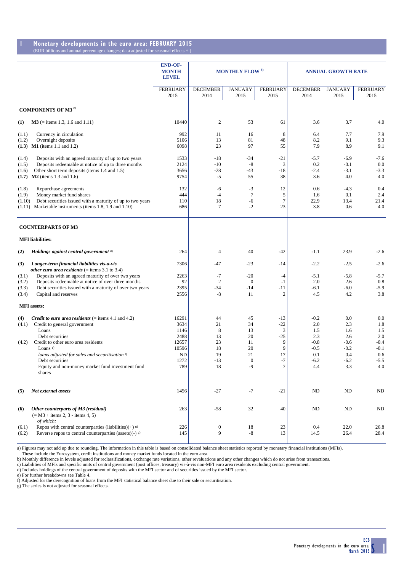#### **1 Monetary developments in the euro area: FEBRUARY 2015** (EUR billions and annual percentage changes; data adjusted for seasonal effects a) )

|                                                                                                                                                                                                                                                                                                                                             | <b>END-OF-</b><br><b>MONTH</b><br><b>LEVEL</b>                              | <b>MONTHLY FLOW</b> <sup>b)</sup>                    |                                                                  |                                                                | <b>ANNUAL GROWTH RATE</b>                                               |                                                                      |                                                                      |
|---------------------------------------------------------------------------------------------------------------------------------------------------------------------------------------------------------------------------------------------------------------------------------------------------------------------------------------------|-----------------------------------------------------------------------------|------------------------------------------------------|------------------------------------------------------------------|----------------------------------------------------------------|-------------------------------------------------------------------------|----------------------------------------------------------------------|----------------------------------------------------------------------|
|                                                                                                                                                                                                                                                                                                                                             | <b>FEBRUARY</b><br>2015                                                     | <b>DECEMBER</b><br>2014                              | <b>JANUARY</b><br>2015                                           | <b>FEBRUARY</b><br>2015                                        | <b>DECEMBER</b><br>2014                                                 | <b>JANUARY</b><br>2015                                               | <b>FEBRUARY</b><br>2015                                              |
| <b>COMPONENTS OF M3<sup>c)</sup></b>                                                                                                                                                                                                                                                                                                        |                                                                             |                                                      |                                                                  |                                                                |                                                                         |                                                                      |                                                                      |
| $M3$ (= items 1.3, 1.6 and 1.11)<br>$\bf(1)$                                                                                                                                                                                                                                                                                                | 10440                                                                       | $\boldsymbol{2}$                                     | 53                                                               | 61                                                             | 3.6                                                                     | 3.7                                                                  | 4.0                                                                  |
| (1.1)<br>Currency in circulation<br>Overnight deposits<br>(1.2)<br>$(1.3)$ M1 (items 1.1 and 1.2)                                                                                                                                                                                                                                           | 992<br>5106<br>6098                                                         | 11<br>13<br>23                                       | 16<br>81<br>97                                                   | 8<br>48<br>55                                                  | 6.4<br>8.2<br>7.9                                                       | 7.7<br>9.1<br>8.9                                                    | 7.9<br>9.3<br>9.1                                                    |
| (1.4)<br>Deposits with an agreed maturity of up to two years<br>Deposits redeemable at notice of up to three months<br>(1.5)<br>Other short term deposits (items 1.4 and 1.5)<br>(1.6)<br>$(1.7)$ M2 (items 1.3 and 1.6)                                                                                                                    | 1533<br>2124<br>3656<br>9754                                                | $-18$<br>$-10$<br>$-28$<br>$-5$                      | $-34$<br>$-8$<br>$-43$<br>55                                     | $-21$<br>3<br>$-18$<br>38                                      | $-5.7$<br>0.2<br>$-2.4$<br>3.6                                          | $-6.9$<br>$-0.1$<br>$-3.1$<br>4.0                                    | $-7.6$<br>0.0<br>$-3.3$<br>4.0                                       |
| (1.8)<br>Repurchase agreements<br>(1.9)<br>Money market fund shares<br>Debt securities issued with a maturity of up to two years<br>(1.10)<br>$(1.11)$ Marketable instruments (items 1.8, 1.9 and 1.10)                                                                                                                                     | 132<br>444<br>110<br>686                                                    | -6<br>$-4$<br>18<br>7                                | $-3$<br>7<br>-6<br>$-2$                                          | 12<br>5<br>$\tau$<br>23                                        | 0.6<br>1.6<br>22.9<br>3.8                                               | $-4.3$<br>0.1<br>13.4<br>0.6                                         | 0.4<br>2.4<br>21.4<br>4.0                                            |
| <b>COUNTERPARTS OF M3</b>                                                                                                                                                                                                                                                                                                                   |                                                                             |                                                      |                                                                  |                                                                |                                                                         |                                                                      |                                                                      |
| <b>MFI</b> liabilities:                                                                                                                                                                                                                                                                                                                     |                                                                             |                                                      |                                                                  |                                                                |                                                                         |                                                                      |                                                                      |
| Holdings against central government d)<br>(2)                                                                                                                                                                                                                                                                                               | 264                                                                         | 4                                                    | 40                                                               | -42                                                            | $-1.1$                                                                  | 23.9                                                                 | $-2.6$                                                               |
| (3)<br>Longer-term financial liabilities vis-a-vis<br><i>other euro area residents</i> ( $=$ items 3.1 to 3.4)                                                                                                                                                                                                                              | 7306                                                                        | $-47$                                                | $-23$                                                            | -14                                                            | $-2.2$                                                                  | $-2.5$                                                               | $-2.6$                                                               |
| Deposits with an agreed maturity of over two years<br>(3.1)<br>Deposits redeemable at notice of over three months<br>(3.2)<br>Debt securities issued with a maturity of over two years<br>(3.3)<br>Capital and reserves<br>(3.4)                                                                                                            | 2263<br>92<br>2395<br>2556                                                  | $-7$<br>$\overline{2}$<br>$-34$<br>$-8$              | $-20$<br>$\mathbf{0}$<br>$-14$<br>11                             | $-4$<br>$-1$<br>$-11$<br>$\overline{2}$                        | $-5.1$<br>2.0<br>$-6.1$<br>4.5                                          | $-5.8$<br>2.6<br>$-6.0$<br>4.2                                       | $-5.7$<br>0.8<br>$-5.9$<br>3.8                                       |
| <b>MFI</b> assets:                                                                                                                                                                                                                                                                                                                          |                                                                             |                                                      |                                                                  |                                                                |                                                                         |                                                                      |                                                                      |
| <i>Credit to euro area residents</i> $($ = items 4.1 and 4.2)<br>(4)<br>(4.1)<br>Credit to general government<br>Loans<br>Debt securities<br>Credit to other euro area residents<br>(4.2)<br>Loans $e$ )<br>loans adjusted for sales and securitisation f)<br>Debt securities<br>Equity and non-money market fund investment fund<br>shares | 16291<br>3634<br>1146<br>2488<br>12657<br>10596<br><b>ND</b><br>1272<br>789 | 44<br>21<br>8<br>13<br>23<br>18<br>19<br>$-13$<br>18 | 45<br>34<br>13<br>20<br>11<br>20<br>21<br>$\overline{0}$<br>$-9$ | $-13$<br>$-22$<br>3<br>$-25$<br>9<br>9<br>17<br>$-7$<br>$\tau$ | $-0.2$<br>2.0<br>1.5<br>2.3<br>$-0.8$<br>$-0.5$<br>0.1<br>$-6.2$<br>4.4 | 0.0<br>2.3<br>1.6<br>2.6<br>$-0.6$<br>$-0.2$<br>0.4<br>$-6.2$<br>3.3 | 0.0<br>1.8<br>1.5<br>2.0<br>$-0.4$<br>$-0.1$<br>0.6<br>$-5.5$<br>4.0 |
| Net external assets<br>(5)                                                                                                                                                                                                                                                                                                                  | 1456                                                                        | $-27$                                                | $-7$                                                             | $-21$                                                          | ND                                                                      | ND                                                                   | ND                                                                   |
| Other counterparts of M3 (residual)<br>(6)<br>$(= M3 + items 2, 3 - items 4, 5)$                                                                                                                                                                                                                                                            | 263                                                                         | $-58$                                                | 32                                                               | 40                                                             | ND                                                                      | $\rm ND$                                                             | ND                                                                   |
| of which:<br>Repos with central counterparties (liabilities)(+) $\beta$ )<br>(6.1)<br>Reverse repos to central counterparties (assets)(-) $\beta$ )<br>(6.2)                                                                                                                                                                                | 226<br>145                                                                  | $\boldsymbol{0}$<br>9                                | 18<br>$\text{-}8$                                                | 23<br>13                                                       | 0.4<br>14.5                                                             | 22.0<br>26.4                                                         | 26.8<br>28.4                                                         |

a) Figures may not add up due to rounding. The information in this table is based on consolidated balance sheet statistics reported by monetary financial institutions (MFIs).<br>These include the Eurosystem, credit institutio

c) Liabilities of MFIs and specific units of central government (post offices, treasury) vis-à-vis non-MFI euro area residents excluding central government.<br>d) Includes holdings of the central government of deposits with t

e) For further breakdowns see Table 4. f) Adjusted for the derecognition of loans from the MFI statistical balance sheet due to their sale or securitisation. g) The series is not adjusted for seasonal effects.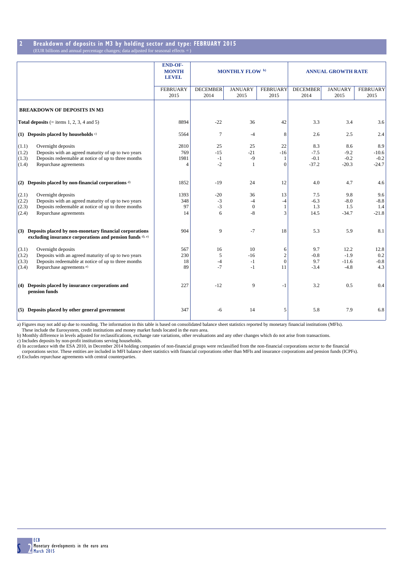#### **2 Breakdown of deposits in M3 by holding sector and type: FEBRUARY 2015**  $\overline{\text{EUR}}$  billions and annual percentage changes; data adjusted for seasonal effects

|                                                                                                                                                                                                  | <b>END-OF-</b><br><b>MONTH</b><br><b>LEVEL</b> | MONTHLY FLOW b)             |                              |                                       | <b>ANNUAL GROWTH RATE</b>          |                                     |                                     |
|--------------------------------------------------------------------------------------------------------------------------------------------------------------------------------------------------|------------------------------------------------|-----------------------------|------------------------------|---------------------------------------|------------------------------------|-------------------------------------|-------------------------------------|
|                                                                                                                                                                                                  | <b>FEBRUARY</b><br>2015                        | <b>DECEMBER</b><br>2014     | <b>JANUARY</b><br>2015       | <b>FEBRUARY</b><br>2015               | <b>DECEMBER</b><br>2014            | <b>JANUARY</b><br>2015              | <b>FEBRUARY</b><br>2015             |
| <b>BREAKDOWN OF DEPOSITS IN M3</b>                                                                                                                                                               |                                                |                             |                              |                                       |                                    |                                     |                                     |
| <b>Total deposits</b> (= items 1, 2, 3, 4 and 5)                                                                                                                                                 | 8894                                           | $-22$                       | 36                           | 42                                    | 3.3                                | 3.4                                 | 3.6                                 |
| (1) Deposits placed by households $\circ$                                                                                                                                                        | 5564                                           | $\tau$                      | $-4$                         | 8                                     | 2.6                                | 2.5                                 | 2.4                                 |
| Overnight deposits<br>(1.1)<br>Deposits with an agreed maturity of up to two years<br>(1.2)<br>Deposits redeemable at notice of up to three months<br>(1.3)<br>Repurchase agreements<br>(1.4)    | 2810<br>769<br>1981<br>4                       | 25<br>$-15$<br>$-1$<br>$-2$ | 25<br>$-21$<br>$-9$<br>-1    | 22<br>$-16$<br>1<br>$\Omega$          | 8.3<br>$-7.5$<br>$-0.1$<br>$-37.2$ | 8.6<br>$-9.2$<br>$-0.2$<br>$-20.3$  | 8.9<br>$-10.6$<br>$-0.2$<br>$-24.7$ |
| (2) Deposits placed by non-financial corporations $d$                                                                                                                                            | 1852                                           | $-19$                       | 24                           | 12                                    | 4.0                                | 4.7                                 | 4.6                                 |
| Overnight deposits<br>(2.1)<br>Deposits with an agreed maturity of up to two years<br>(2.2)<br>Deposits redeemable at notice of up to three months<br>(2.3)<br>(2.4)<br>Repurchase agreements    | 1393<br>348<br>97<br>14                        | $-20$<br>$-3$<br>$-3$<br>6  | 36<br>$-4$<br>$\theta$<br>-8 | 13<br>$-4$<br>1<br>3                  | 7.5<br>$-6.3$<br>1.3<br>14.5       | 9.8<br>$-8.0$<br>1.5<br>$-34.7$     | 9.6<br>$-8.8$<br>1.4<br>$-21.8$     |
| (3) Deposits placed by non-monetary financial corporations<br>excluding insurance corporations and pension funds d), e)                                                                          | 904                                            | 9                           | $-7$                         | 18                                    | 5.3                                | 5.9                                 | 8.1                                 |
| (3.1)<br>Overnight deposits<br>Deposits with an agreed maturity of up to two years<br>(3.2)<br>Deposits redeemable at notice of up to three months<br>(3.3)<br>Repurchase agreements e)<br>(3.4) | 567<br>230<br>18<br>89                         | 16<br>5<br>$-4$<br>$-7$     | 10<br>$-16$<br>$-1$<br>$-1$  | 6<br>$\overline{2}$<br>$\theta$<br>11 | 9.7<br>$-0.8$<br>9.7<br>$-3.4$     | 12.2<br>$-1.9$<br>$-11.6$<br>$-4.8$ | 12.8<br>0.2<br>$-0.8$<br>4.3        |
| (4) Deposits placed by insurance corporations and<br>pension funds                                                                                                                               | 227                                            | $-12$                       | 9                            | $-1$                                  | 3.2                                | 0.5                                 | 0.4                                 |
| (5) Deposits placed by other general government                                                                                                                                                  | 347                                            | $-6$                        | 14                           | 5                                     | 5.8                                | 7.9                                 | 6.8                                 |

a) Figures may not add up due to rounding. The information in this table is based on consolidated balance sheet statistics reported by monetary financial institutions (MFIs).<br>These include the Eurosystem, credit institutio

c) Includes deposits by non-profit institutions serving households.

d) In accordance with the ESA 2010, in December 2014 holding companies of non-financial groups were reclassified from the non-financial corporations sector to the financial corporations sector to the financial corporations e) Excludes repurchase agreements with central counterparties.